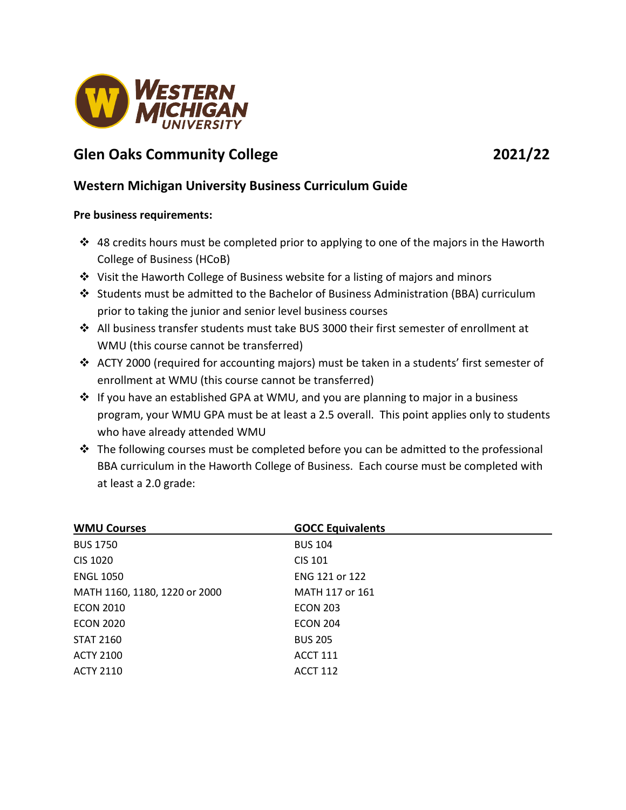

# **Glen Oaks Community College 2021/22**

## **Western Michigan University Business Curriculum Guide**

### **Pre business requirements:**

- $\cdot$  48 credits hours must be completed prior to applying to one of the majors in the Haworth College of Business (HCoB)
- $\cdot$  Visit the Haworth College of Business website for a listing of majors and minors
- Students must be admitted to the Bachelor of Business Administration (BBA) curriculum prior to taking the junior and senior level business courses
- $\clubsuit$  All business transfer students must take BUS 3000 their first semester of enrollment at WMU (this course cannot be transferred)
- ACTY 2000 (required for accounting majors) must be taken in a students' first semester of enrollment at WMU (this course cannot be transferred)
- $\div$  If you have an established GPA at WMU, and you are planning to major in a business program, your WMU GPA must be at least a 2.5 overall. This point applies only to students who have already attended WMU
- $\cdot \cdot$  The following courses must be completed before you can be admitted to the professional BBA curriculum in the Haworth College of Business. Each course must be completed with at least a 2.0 grade:

| <b>WMU Courses</b>            | <b>GOCC Equivalents</b> |
|-------------------------------|-------------------------|
| <b>BUS 1750</b>               | <b>BUS 104</b>          |
| CIS 1020                      | <b>CIS 101</b>          |
| <b>ENGL 1050</b>              | ENG 121 or 122          |
| MATH 1160, 1180, 1220 or 2000 | MATH 117 or 161         |
| <b>ECON 2010</b>              | <b>ECON 203</b>         |
| <b>ECON 2020</b>              | <b>ECON 204</b>         |
| <b>STAT 2160</b>              | <b>BUS 205</b>          |
| <b>ACTY 2100</b>              | <b>ACCT 111</b>         |
| <b>ACTY 2110</b>              | <b>ACCT 112</b>         |